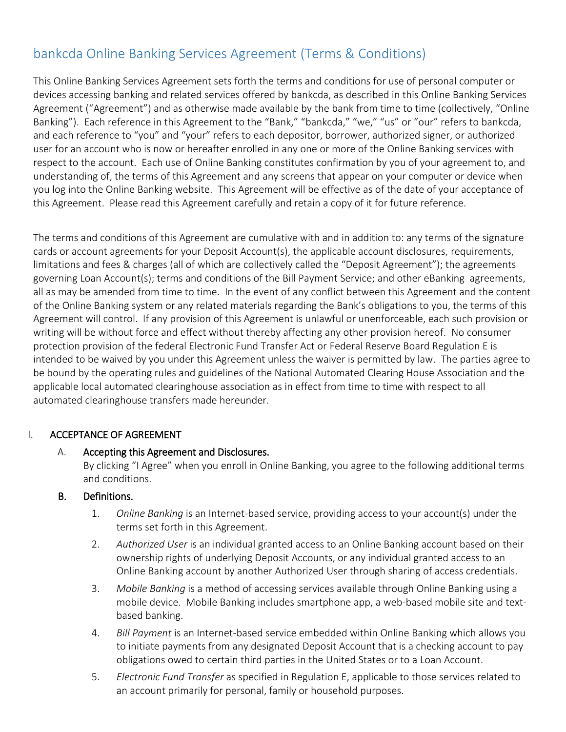# bankcda Online Banking Services Agreement (Terms & Conditions)

This Online Banking Services Agreement sets forth the terms and conditions for use of personal computer or devices accessing banking and related services offered by bankcda, as described in this Online Banking Services Agreement ("Agreement") and as otherwise made available by the bank from time to time (collectively, "Online Banking"). Each reference in this Agreement to the "Bank," "bankcda," "we," "us" or "our" refers to bankcda, and each reference to "you" and "your" refers to each depositor, borrower, authorized signer, or authorized user for an account who is now or hereafter enrolled in any one or more of the Online Banking services with respect to the account. Each use of Online Banking constitutes confirmation by you of your agreement to, and understanding of, the terms of this Agreement and any screens that appear on your computer or device when you log into the Online Banking website. This Agreement will be effective as of the date of your acceptance of this Agreement. Please read this Agreement carefully and retain a copy of it for future reference.

The terms and conditions of this Agreement are cumulative with and in addition to: any terms of the signature cards or account agreements for your Deposit Account(s), the applicable account disclosures, requirements, limitations and fees & charges (all of which are collectively called the "Deposit Agreement"); the agreements governing Loan Account(s); terms and conditions of the Bill Payment Service; and other eBanking agreements, all as may be amended from time to time. In the event of any conflict between this Agreement and the content of the Online Banking system or any related materials regarding the Bank's obligations to you, the terms of this Agreement will control. If any provision of this Agreement is unlawful or unenforceable, each such provision or writing will be without force and effect without thereby affecting any other provision hereof. No consumer protection provision of the federal Electronic Fund Transfer Act or Federal Reserve Board Regulation E is intended to be waived by you under this Agreement unless the waiver is permitted by law. The parties agree to be bound by the operating rules and guidelines of the National Automated Clearing House Association and the applicable local automated clearinghouse association as in effect from time to time with respect to all automated clearinghouse transfers made hereunder.

#### I. ACCEPTANCE OF AGREEMENT

#### A. Accepting this Agreement and Disclosures.

By clicking "I Agree" when you enroll in Online Banking, you agree to the following additional terms and conditions.

#### B. Definitions.

- 1. *Online Banking* is an Internet-based service, providing access to your account(s) under the terms set forth in this Agreement.
- 2. *Authorized User* is an individual granted access to an Online Banking account based on their ownership rights of underlying Deposit Accounts, or any individual granted access to an Online Banking account by another Authorized User through sharing of access credentials.
- 3. *Mobile Banking* is a method of accessing services available through Online Banking using a mobile device. Mobile Banking includes smartphone app, a web-based mobile site and textbased banking.
- 4. *Bill Payment* is an Internet-based service embedded within Online Banking which allows you to initiate payments from any designated Deposit Account that is a checking account to pay obligations owed to certain third parties in the United States or to a Loan Account.
- 5. *Electronic Fund Transfer* as specified in Regulation E, applicable to those services related to an account primarily for personal, family or household purposes.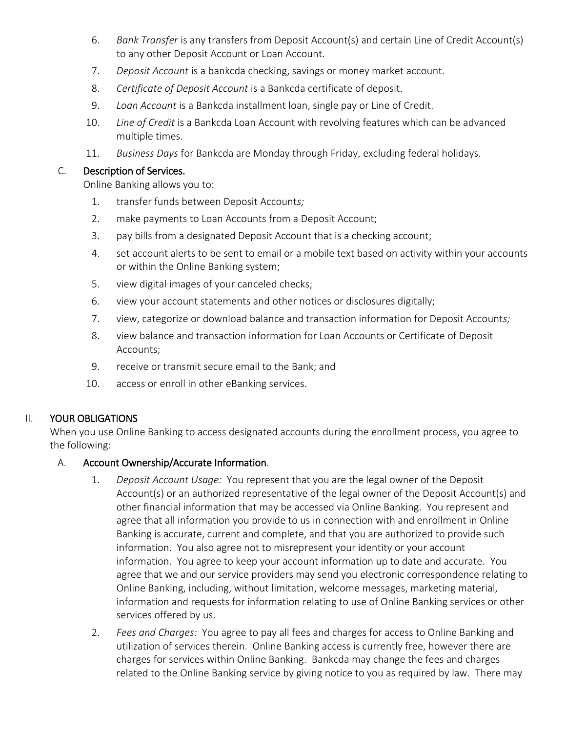- 6. *Bank Transfer* is any transfers from Deposit Account(s) and certain Line of Credit Account(s) to any other Deposit Account or Loan Account.
- 7. *Deposit Account* is a bankcda checking, savings or money market account.
- 8. *Certificate of Deposit Account* is a Bankcda certificate of deposit.
- 9. *Loan Account* is a Bankcda installment loan, single pay or Line of Credit.
- 10. *Line of Credit* is a Bankcda Loan Account with revolving features which can be advanced multiple times.
- 11. *Business Days* for Bankcda are Monday through Friday, excluding federal holidays.

#### C. Description of Services.

Online Banking allows you to:

- 1. transfer funds between Deposit Account*s;*
- 2. make payments to Loan Accounts from a Deposit Account;
- 3. pay bills from a designated Deposit Account that is a checking account;
- 4. set account alerts to be sent to email or a mobile text based on activity within your accounts or within the Online Banking system;
- 5. view digital images of your canceled checks;
- 6. view your account statements and other notices or disclosures digitally;
- 7. view, categorize or download balance and transaction information for Deposit Account*s;*
- 8. view balance and transaction information for Loan Accounts or Certificate of Deposit Accounts;
- 9. receive or transmit secure email to the Bank; and
- 10. access or enroll in other eBanking services.

# II. YOUR OBLIGATIONS

When you use Online Banking to access designated accounts during the enrollment process, you agree to the following:

# A. Account Ownership/Accurate Information.

- 1. *Deposit Account Usage:* You represent that you are the legal owner of the Deposit Account(s) or an authorized representative of the legal owner of the Deposit Account(s) and other financial information that may be accessed via Online Banking. You represent and agree that all information you provide to us in connection with and enrollment in Online Banking is accurate, current and complete, and that you are authorized to provide such information. You also agree not to misrepresent your identity or your account information. You agree to keep your account information up to date and accurate. You agree that we and our service providers may send you electronic correspondence relating to Online Banking, including, without limitation, welcome messages, marketing material, information and requests for information relating to use of Online Banking services or other services offered by us.
- 2. *Fees and Charges:* You agree to pay all fees and charges for access to Online Banking and utilization of services therein. Online Banking access is currently free, however there are charges for services within Online Banking. Bankcda may change the fees and charges related to the Online Banking service by giving notice to you as required by law. There may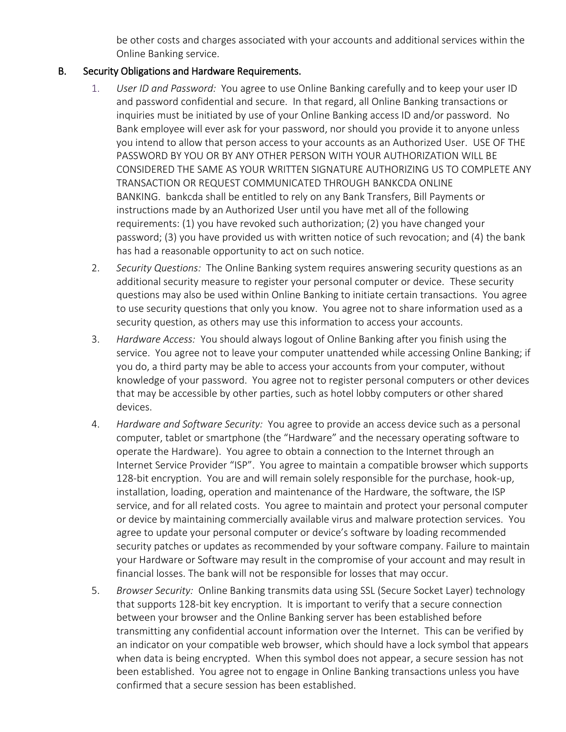be other costs and charges associated with your accounts and additional services within the Online Banking service.

# B. Security Obligations and Hardware Requirements.

- 1. *User ID and Password:* You agree to use Online Banking carefully and to keep your user ID and password confidential and secure. In that regard, all Online Banking transactions or inquiries must be initiated by use of your Online Banking access ID and/or password. No Bank employee will ever ask for your password, nor should you provide it to anyone unless you intend to allow that person access to your accounts as an Authorized User. USE OF THE PASSWORD BY YOU OR BY ANY OTHER PERSON WITH YOUR AUTHORIZATION WILL BE CONSIDERED THE SAME AS YOUR WRITTEN SIGNATURE AUTHORIZING US TO COMPLETE ANY TRANSACTION OR REQUEST COMMUNICATED THROUGH BANKCDA ONLINE BANKING. bankcda shall be entitled to rely on any Bank Transfers, Bill Payments or instructions made by an Authorized User until you have met all of the following requirements: (1) you have revoked such authorization; (2) you have changed your password; (3) you have provided us with written notice of such revocation; and (4) the bank has had a reasonable opportunity to act on such notice.
- 2. *Security Questions:* The Online Banking system requires answering security questions as an additional security measure to register your personal computer or device. These security questions may also be used within Online Banking to initiate certain transactions. You agree to use security questions that only you know. You agree not to share information used as a security question, as others may use this information to access your accounts.
- 3. *Hardware Access:* You should always logout of Online Banking after you finish using the service. You agree not to leave your computer unattended while accessing Online Banking; if you do, a third party may be able to access your accounts from your computer, without knowledge of your password. You agree not to register personal computers or other devices that may be accessible by other parties, such as hotel lobby computers or other shared devices.
- 4. *Hardware and Software Security:* You agree to provide an access device such as a personal computer, tablet or smartphone (the "Hardware" and the necessary operating software to operate the Hardware). You agree to obtain a connection to the Internet through an Internet Service Provider "ISP". You agree to maintain a compatible browser which supports 128-bit encryption. You are and will remain solely responsible for the purchase, hook-up, installation, loading, operation and maintenance of the Hardware, the software, the ISP service, and for all related costs. You agree to maintain and protect your personal computer or device by maintaining commercially available virus and malware protection services. You agree to update your personal computer or device's software by loading recommended security patches or updates as recommended by your software company. Failure to maintain your Hardware or Software may result in the compromise of your account and may result in financial losses. The bank will not be responsible for losses that may occur.
- 5. *Browser Security:* Online Banking transmits data using SSL (Secure Socket Layer) technology that supports 128-bit key encryption. It is important to verify that a secure connection between your browser and the Online Banking server has been established before transmitting any confidential account information over the Internet. This can be verified by an indicator on your compatible web browser, which should have a lock symbol that appears when data is being encrypted. When this symbol does not appear, a secure session has not been established. You agree not to engage in Online Banking transactions unless you have confirmed that a secure session has been established.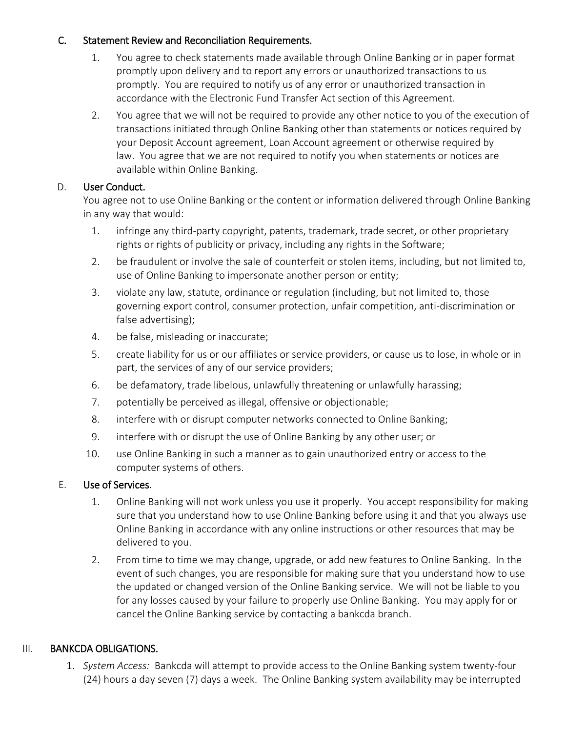# C. Statement Review and Reconciliation Requirements.

- 1. You agree to check statements made available through Online Banking or in paper format promptly upon delivery and to report any errors or unauthorized transactions to us promptly. You are required to notify us of any error or unauthorized transaction in accordance with the Electronic Fund Transfer Act section of this Agreement.
- 2. You agree that we will not be required to provide any other notice to you of the execution of transactions initiated through Online Banking other than statements or notices required by your Deposit Account agreement, Loan Account agreement or otherwise required by law. You agree that we are not required to notify you when statements or notices are available within Online Banking.

# D. User Conduct.

You agree not to use Online Banking or the content or information delivered through Online Banking in any way that would:

- 1. infringe any third-party copyright, patents, trademark, trade secret, or other proprietary rights or rights of publicity or privacy, including any rights in the Software;
- 2. be fraudulent or involve the sale of counterfeit or stolen items, including, but not limited to, use of Online Banking to impersonate another person or entity;
- 3. violate any law, statute, ordinance or regulation (including, but not limited to, those governing export control, consumer protection, unfair competition, anti-discrimination or false advertising);
- 4. be false, misleading or inaccurate;
- 5. create liability for us or our affiliates or service providers, or cause us to lose, in whole or in part, the services of any of our service providers;
- 6. be defamatory, trade libelous, unlawfully threatening or unlawfully harassing;
- 7. potentially be perceived as illegal, offensive or objectionable;
- 8. interfere with or disrupt computer networks connected to Online Banking;
- 9. interfere with or disrupt the use of Online Banking by any other user; or
- 10. use Online Banking in such a manner as to gain unauthorized entry or access to the computer systems of others.

# E. Use of Services.

- 1. Online Banking will not work unless you use it properly. You accept responsibility for making sure that you understand how to use Online Banking before using it and that you always use Online Banking in accordance with any online instructions or other resources that may be delivered to you.
- 2. From time to time we may change, upgrade, or add new features to Online Banking. In the event of such changes, you are responsible for making sure that you understand how to use the updated or changed version of the Online Banking service. We will not be liable to you for any losses caused by your failure to properly use Online Banking. You may apply for or cancel the Online Banking service by contacting a bankcda branch.

# III. BANKCDA OBLIGATIONS.

1. *System Access:* Bankcda will attempt to provide access to the Online Banking system twenty-four (24) hours a day seven (7) days a week. The Online Banking system availability may be interrupted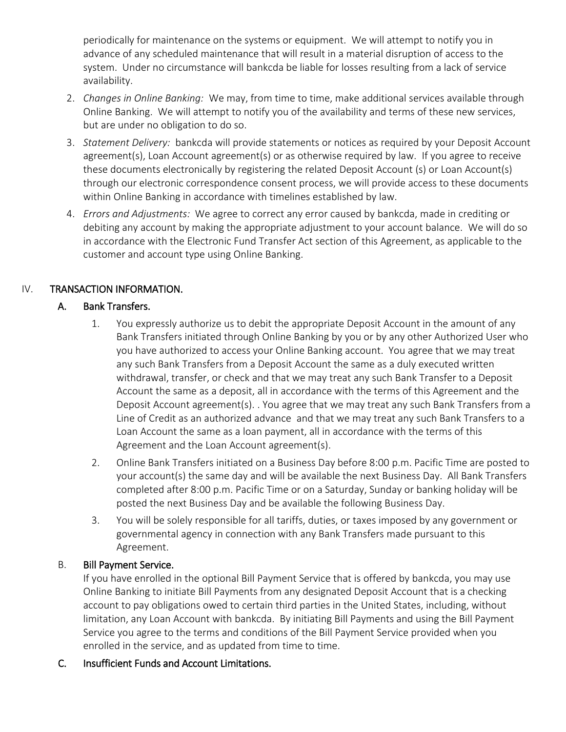periodically for maintenance on the systems or equipment. We will attempt to notify you in advance of any scheduled maintenance that will result in a material disruption of access to the system. Under no circumstance will bankcda be liable for losses resulting from a lack of service availability.

- 2. *Changes in Online Banking:* We may, from time to time, make additional services available through Online Banking. We will attempt to notify you of the availability and terms of these new services, but are under no obligation to do so.
- 3. *Statement Delivery:* bankcda will provide statements or notices as required by your Deposit Account agreement(s), Loan Account agreement(s) or as otherwise required by law. If you agree to receive these documents electronically by registering the related Deposit Account (s) or Loan Account(s) through our electronic correspondence consent process, we will provide access to these documents within Online Banking in accordance with timelines established by law.
- 4. *Errors and Adjustments:* We agree to correct any error caused by bankcda, made in crediting or debiting any account by making the appropriate adjustment to your account balance. We will do so in accordance with the Electronic Fund Transfer Act section of this Agreement, as applicable to the customer and account type using Online Banking.

# IV. TRANSACTION INFORMATION.

# A. Bank Transfers.

- 1. You expressly authorize us to debit the appropriate Deposit Account in the amount of any Bank Transfers initiated through Online Banking by you or by any other Authorized User who you have authorized to access your Online Banking account. You agree that we may treat any such Bank Transfers from a Deposit Account the same as a duly executed written withdrawal, transfer, or check and that we may treat any such Bank Transfer to a Deposit Account the same as a deposit, all in accordance with the terms of this Agreement and the Deposit Account agreement(s). . You agree that we may treat any such Bank Transfers from a Line of Credit as an authorized advance and that we may treat any such Bank Transfers to a Loan Account the same as a loan payment, all in accordance with the terms of this Agreement and the Loan Account agreement(s).
- 2. Online Bank Transfers initiated on a Business Day before 8:00 p.m. Pacific Time are posted to your account(s) the same day and will be available the next Business Day. All Bank Transfers completed after 8:00 p.m. Pacific Time or on a Saturday, Sunday or banking holiday will be posted the next Business Day and be available the following Business Day.
- 3. You will be solely responsible for all tariffs, duties, or taxes imposed by any government or governmental agency in connection with any Bank Transfers made pursuant to this Agreement.

# B. Bill Payment Service.

If you have enrolled in the optional Bill Payment Service that is offered by bankcda, you may use Online Banking to initiate Bill Payments from any designated Deposit Account that is a checking account to pay obligations owed to certain third parties in the United States, including, without limitation, any Loan Account with bankcda. By initiating Bill Payments and using the Bill Payment Service you agree to the terms and conditions of the Bill Payment Service provided when you enrolled in the service, and as updated from time to time.

# C. Insufficient Funds and Account Limitations.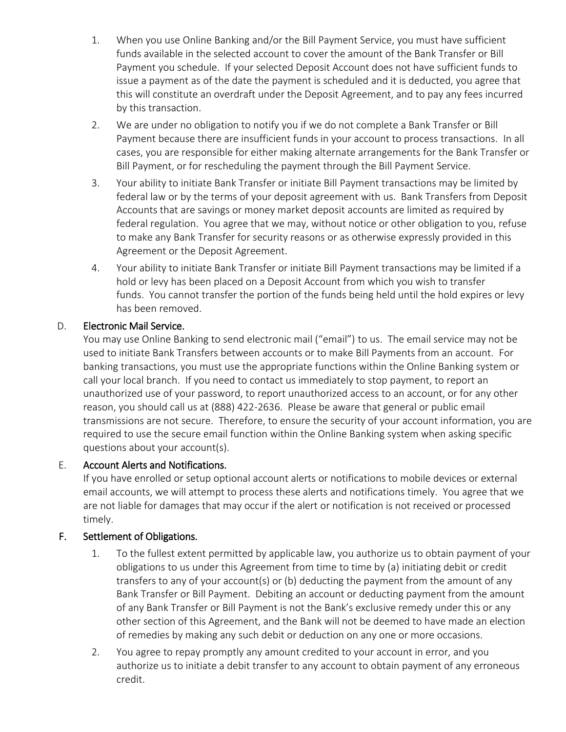- 1. When you use Online Banking and/or the Bill Payment Service, you must have sufficient funds available in the selected account to cover the amount of the Bank Transfer or Bill Payment you schedule. If your selected Deposit Account does not have sufficient funds to issue a payment as of the date the payment is scheduled and it is deducted, you agree that this will constitute an overdraft under the Deposit Agreement, and to pay any fees incurred by this transaction.
- 2. We are under no obligation to notify you if we do not complete a Bank Transfer or Bill Payment because there are insufficient funds in your account to process transactions. In all cases, you are responsible for either making alternate arrangements for the Bank Transfer or Bill Payment, or for rescheduling the payment through the Bill Payment Service.
- 3. Your ability to initiate Bank Transfer or initiate Bill Payment transactions may be limited by federal law or by the terms of your deposit agreement with us. Bank Transfers from Deposit Accounts that are savings or money market deposit accounts are limited as required by federal regulation. You agree that we may, without notice or other obligation to you, refuse to make any Bank Transfer for security reasons or as otherwise expressly provided in this Agreement or the Deposit Agreement.
- 4. Your ability to initiate Bank Transfer or initiate Bill Payment transactions may be limited if a hold or levy has been placed on a Deposit Account from which you wish to transfer funds. You cannot transfer the portion of the funds being held until the hold expires or levy has been removed.

# D. Electronic Mail Service.

You may use Online Banking to send electronic mail ("email") to us. The email service may not be used to initiate Bank Transfers between accounts or to make Bill Payments from an account. For banking transactions, you must use the appropriate functions within the Online Banking system or call your local branch. If you need to contact us immediately to stop payment, to report an unauthorized use of your password, to report unauthorized access to an account, or for any other reason, you should call us at (888) 422-2636. Please be aware that general or public email transmissions are not secure. Therefore, to ensure the security of your account information, you are required to use the secure email function within the Online Banking system when asking specific questions about your account(s).

# E. Account Alerts and Notifications.

If you have enrolled or setup optional account alerts or notifications to mobile devices or external email accounts, we will attempt to process these alerts and notifications timely. You agree that we are not liable for damages that may occur if the alert or notification is not received or processed timely.

#### F. Settlement of Obligations.

- 1. To the fullest extent permitted by applicable law, you authorize us to obtain payment of your obligations to us under this Agreement from time to time by (a) initiating debit or credit transfers to any of your account(s) or (b) deducting the payment from the amount of any Bank Transfer or Bill Payment. Debiting an account or deducting payment from the amount of any Bank Transfer or Bill Payment is not the Bank's exclusive remedy under this or any other section of this Agreement, and the Bank will not be deemed to have made an election of remedies by making any such debit or deduction on any one or more occasions.
- 2. You agree to repay promptly any amount credited to your account in error, and you authorize us to initiate a debit transfer to any account to obtain payment of any erroneous credit.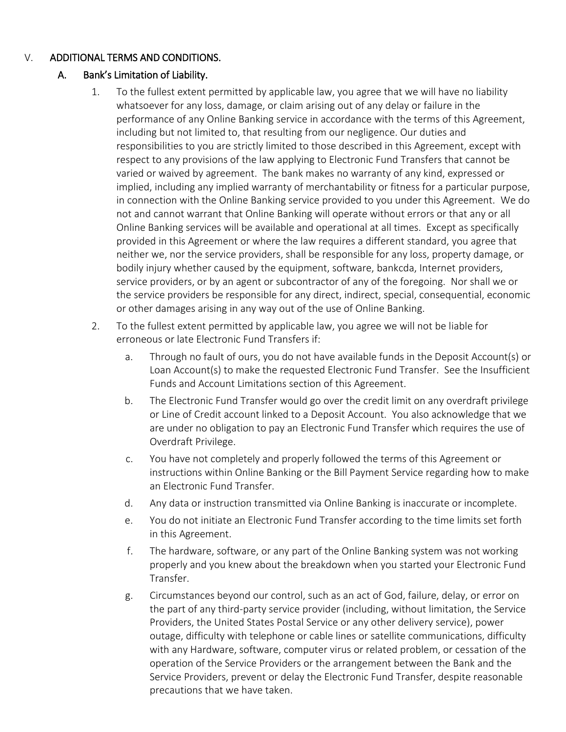# V. ADDITIONAL TERMS AND CONDITIONS.

# A. Bank's Limitation of Liability.

- 1. To the fullest extent permitted by applicable law, you agree that we will have no liability whatsoever for any loss, damage, or claim arising out of any delay or failure in the performance of any Online Banking service in accordance with the terms of this Agreement, including but not limited to, that resulting from our negligence. Our duties and responsibilities to you are strictly limited to those described in this Agreement, except with respect to any provisions of the law applying to Electronic Fund Transfers that cannot be varied or waived by agreement. The bank makes no warranty of any kind, expressed or implied, including any implied warranty of merchantability or fitness for a particular purpose, in connection with the Online Banking service provided to you under this Agreement. We do not and cannot warrant that Online Banking will operate without errors or that any or all Online Banking services will be available and operational at all times. Except as specifically provided in this Agreement or where the law requires a different standard, you agree that neither we, nor the service providers, shall be responsible for any loss, property damage, or bodily injury whether caused by the equipment, software, bankcda, Internet providers, service providers, or by an agent or subcontractor of any of the foregoing. Nor shall we or the service providers be responsible for any direct, indirect, special, consequential, economic or other damages arising in any way out of the use of Online Banking.
- 2. To the fullest extent permitted by applicable law, you agree we will not be liable for erroneous or late Electronic Fund Transfers if:
	- a. Through no fault of ours, you do not have available funds in the Deposit Account(s) or Loan Account(s) to make the requested Electronic Fund Transfer. See the Insufficient Funds and Account Limitations section of this Agreement.
	- b. The Electronic Fund Transfer would go over the credit limit on any overdraft privilege or Line of Credit account linked to a Deposit Account. You also acknowledge that we are under no obligation to pay an Electronic Fund Transfer which requires the use of Overdraft Privilege.
	- c. You have not completely and properly followed the terms of this Agreement or instructions within Online Banking or the Bill Payment Service regarding how to make an Electronic Fund Transfer.
	- d. Any data or instruction transmitted via Online Banking is inaccurate or incomplete.
	- e. You do not initiate an Electronic Fund Transfer according to the time limits set forth in this Agreement.
	- f. The hardware, software, or any part of the Online Banking system was not working properly and you knew about the breakdown when you started your Electronic Fund Transfer.
	- g. Circumstances beyond our control, such as an act of God, failure, delay, or error on the part of any third-party service provider (including, without limitation, the Service Providers, the United States Postal Service or any other delivery service), power outage, difficulty with telephone or cable lines or satellite communications, difficulty with any Hardware, software, computer virus or related problem, or cessation of the operation of the Service Providers or the arrangement between the Bank and the Service Providers, prevent or delay the Electronic Fund Transfer, despite reasonable precautions that we have taken.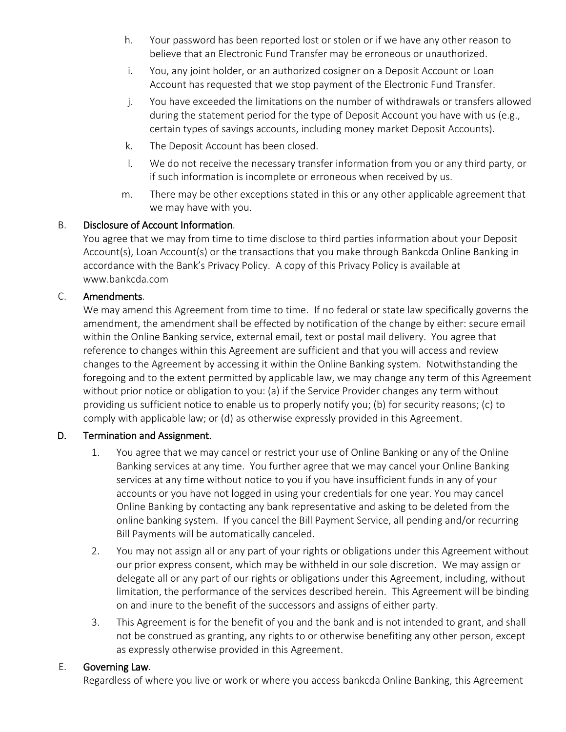- h. Your password has been reported lost or stolen or if we have any other reason to believe that an Electronic Fund Transfer may be erroneous or unauthorized.
- i. You, any joint holder, or an authorized cosigner on a Deposit Account or Loan Account has requested that we stop payment of the Electronic Fund Transfer.
- j. You have exceeded the limitations on the number of withdrawals or transfers allowed during the statement period for the type of Deposit Account you have with us (e.g., certain types of savings accounts, including money market Deposit Accounts).
- k. The Deposit Account has been closed.
- l. We do not receive the necessary transfer information from you or any third party, or if such information is incomplete or erroneous when received by us.
- m. There may be other exceptions stated in this or any other applicable agreement that we may have with you.

# B. Disclosure of Account Information.

You agree that we may from time to time disclose to third parties information about your Deposit Account(s), Loan Account(s) or the transactions that you make through Bankcda Online Banking in accordance with the Bank's Privacy Policy. A copy of this Privacy Policy is available at www.bankcda.com

# C. Amendments.

We may amend this Agreement from time to time. If no federal or state law specifically governs the amendment, the amendment shall be effected by notification of the change by either: secure email within the Online Banking service, external email, text or postal mail delivery. You agree that reference to changes within this Agreement are sufficient and that you will access and review changes to the Agreement by accessing it within the Online Banking system. Notwithstanding the foregoing and to the extent permitted by applicable law, we may change any term of this Agreement without prior notice or obligation to you: (a) if the Service Provider changes any term without providing us sufficient notice to enable us to properly notify you; (b) for security reasons; (c) to comply with applicable law; or (d) as otherwise expressly provided in this Agreement.

#### D. Termination and Assignment.

- 1. You agree that we may cancel or restrict your use of Online Banking or any of the Online Banking services at any time. You further agree that we may cancel your Online Banking services at any time without notice to you if you have insufficient funds in any of your accounts or you have not logged in using your credentials for one year. You may cancel Online Banking by contacting any bank representative and asking to be deleted from the online banking system. If you cancel the Bill Payment Service, all pending and/or recurring Bill Payments will be automatically canceled.
- 2. You may not assign all or any part of your rights or obligations under this Agreement without our prior express consent, which may be withheld in our sole discretion. We may assign or delegate all or any part of our rights or obligations under this Agreement, including, without limitation, the performance of the services described herein. This Agreement will be binding on and inure to the benefit of the successors and assigns of either party.
- 3. This Agreement is for the benefit of you and the bank and is not intended to grant, and shall not be construed as granting, any rights to or otherwise benefiting any other person, except as expressly otherwise provided in this Agreement.

#### E. Governing Law.

Regardless of where you live or work or where you access bankcda Online Banking, this Agreement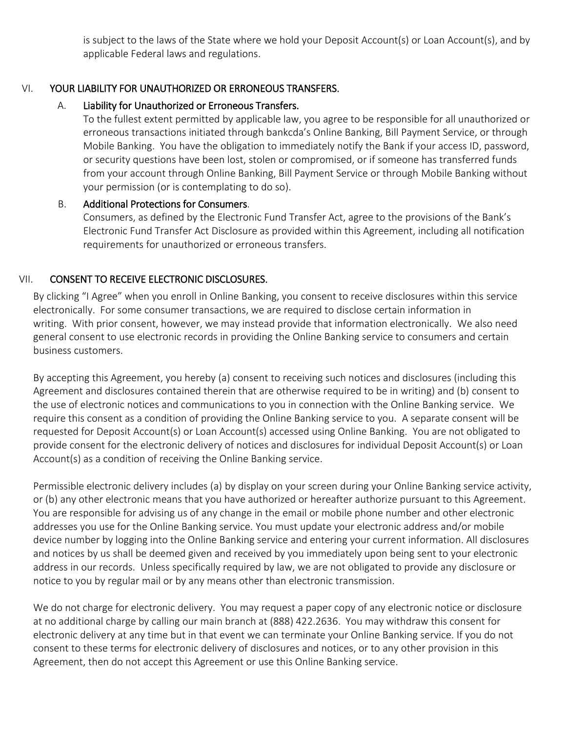is subject to the laws of the State where we hold your Deposit Account(s) or Loan Account(s), and by applicable Federal laws and regulations.

# VI. YOUR LIABILITY FOR UNAUTHORIZED OR ERRONEOUS TRANSFERS.

# A. Liability for Unauthorized or Erroneous Transfers.

To the fullest extent permitted by applicable law, you agree to be responsible for all unauthorized or erroneous transactions initiated through bankcda's Online Banking, Bill Payment Service, or through Mobile Banking. You have the obligation to immediately notify the Bank if your access ID, password, or security questions have been lost, stolen or compromised, or if someone has transferred funds from your account through Online Banking, Bill Payment Service or through Mobile Banking without your permission (or is contemplating to do so).

#### B. Additional Protections for Consumers.

Consumers, as defined by the Electronic Fund Transfer Act, agree to the provisions of the Bank's Electronic Fund Transfer Act Disclosure as provided within this Agreement, including all notification requirements for unauthorized or erroneous transfers.

# VII. CONSENT TO RECEIVE ELECTRONIC DISCLOSURES.

By clicking "I Agree" when you enroll in Online Banking, you consent to receive disclosures within this service electronically. For some consumer transactions, we are required to disclose certain information in writing. With prior consent, however, we may instead provide that information electronically. We also need general consent to use electronic records in providing the Online Banking service to consumers and certain business customers.

By accepting this Agreement, you hereby (a) consent to receiving such notices and disclosures (including this Agreement and disclosures contained therein that are otherwise required to be in writing) and (b) consent to the use of electronic notices and communications to you in connection with the Online Banking service. We require this consent as a condition of providing the Online Banking service to you. A separate consent will be requested for Deposit Account(s) or Loan Account(s) accessed using Online Banking. You are not obligated to provide consent for the electronic delivery of notices and disclosures for individual Deposit Account(s) or Loan Account(s) as a condition of receiving the Online Banking service.

Permissible electronic delivery includes (a) by display on your screen during your Online Banking service activity, or (b) any other electronic means that you have authorized or hereafter authorize pursuant to this Agreement. You are responsible for advising us of any change in the email or mobile phone number and other electronic addresses you use for the Online Banking service. You must update your electronic address and/or mobile device number by logging into the Online Banking service and entering your current information. All disclosures and notices by us shall be deemed given and received by you immediately upon being sent to your electronic address in our records. Unless specifically required by law, we are not obligated to provide any disclosure or notice to you by regular mail or by any means other than electronic transmission.

We do not charge for electronic delivery. You may request a paper copy of any electronic notice or disclosure at no additional charge by calling our main branch at (888) 422.2636. You may withdraw this consent for electronic delivery at any time but in that event we can terminate your Online Banking service. If you do not consent to these terms for electronic delivery of disclosures and notices, or to any other provision in this Agreement, then do not accept this Agreement or use this Online Banking service.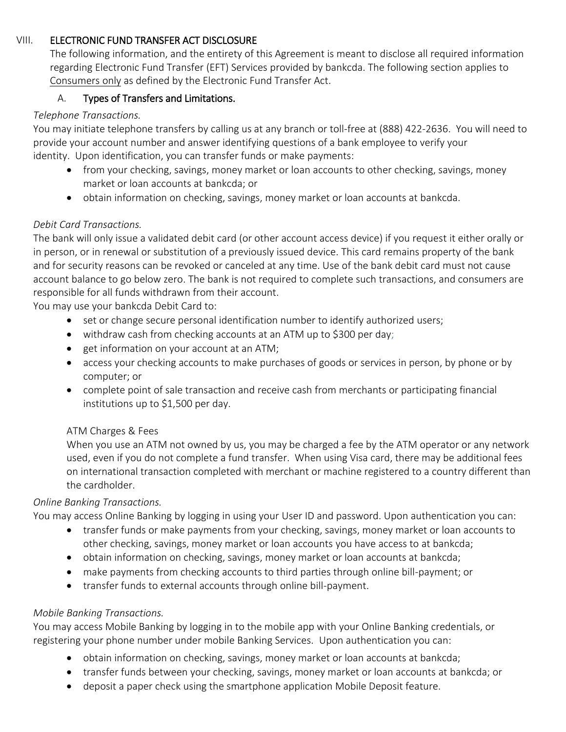#### VIII. ELECTRONIC FUND TRANSFER ACT DISCLOSURE

The following information, and the entirety of this Agreement is meant to disclose all required information regarding Electronic Fund Transfer (EFT) Services provided by bankcda. The following section applies to Consumers only as defined by the Electronic Fund Transfer Act.

# A. Types of Transfers and Limitations.

# *Telephone Transactions.*

You may initiate telephone transfers by calling us at any branch or toll-free at (888) 422-2636. You will need to provide your account number and answer identifying questions of a bank employee to verify your identity. Upon identification, you can transfer funds or make payments:

- from your checking, savings, money market or loan accounts to other checking, savings, money market or loan accounts at bankcda; or
- obtain information on checking, savings, money market or loan accounts at bankcda.

# *Debit Card Transactions.*

The bank will only issue a validated debit card (or other account access device) if you request it either orally or in person, or in renewal or substitution of a previously issued device. This card remains property of the bank and for security reasons can be revoked or canceled at any time. Use of the bank debit card must not cause account balance to go below zero. The bank is not required to complete such transactions, and consumers are responsible for all funds withdrawn from their account.

You may use your bankcda Debit Card to:

- set or change secure personal identification number to identify authorized users;
- withdraw cash from checking accounts at an ATM up to \$300 per day;
- $\bullet$  get information on your account at an ATM;
- access your checking accounts to make purchases of goods or services in person, by phone or by computer; or
- complete point of sale transaction and receive cash from merchants or participating financial institutions up to \$1,500 per day.

#### ATM Charges & Fees

When you use an ATM not owned by us, you may be charged a fee by the ATM operator or any network used, even if you do not complete a fund transfer. When using Visa card, there may be additional fees on international transaction completed with merchant or machine registered to a country different than the cardholder.

#### *Online Banking Transactions.*

You may access Online Banking by logging in using your User ID and password. Upon authentication you can:

- transfer funds or make payments from your checking, savings, money market or loan accounts to other checking, savings, money market or loan accounts you have access to at bankcda;
- obtain information on checking, savings, money market or loan accounts at bankcda;
- make payments from checking accounts to third parties through online bill-payment; or
- transfer funds to external accounts through online bill-payment.

# *Mobile Banking Transactions.*

You may access Mobile Banking by logging in to the mobile app with your Online Banking credentials, or registering your phone number under mobile Banking Services. Upon authentication you can:

- obtain information on checking, savings, money market or loan accounts at bankcda;
- transfer funds between your checking, savings, money market or loan accounts at bankcda; or
- deposit a paper check using the smartphone application Mobile Deposit feature.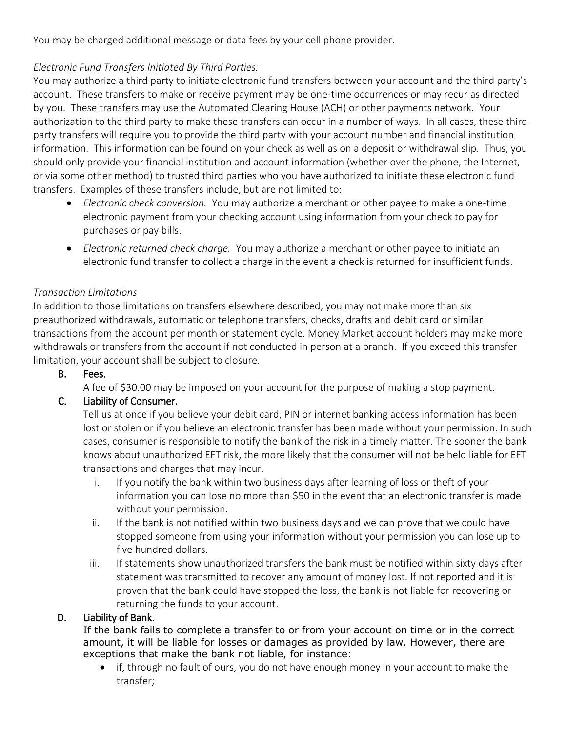You may be charged additional message or data fees by your cell phone provider.

# *Electronic Fund Transfers Initiated By Third Parties.*

You may authorize a third party to initiate electronic fund transfers between your account and the third party's account. These transfers to make or receive payment may be one-time occurrences or may recur as directed by you. These transfers may use the Automated Clearing House (ACH) or other payments network. Your authorization to the third party to make these transfers can occur in a number of ways. In all cases, these thirdparty transfers will require you to provide the third party with your account number and financial institution information. This information can be found on your check as well as on a deposit or withdrawal slip. Thus, you should only provide your financial institution and account information (whether over the phone, the Internet, or via some other method) to trusted third parties who you have authorized to initiate these electronic fund transfers. Examples of these transfers include, but are not limited to:

- *Electronic check conversion.* You may authorize a merchant or other payee to make a one-time electronic payment from your checking account using information from your check to pay for purchases or pay bills.
- *Electronic returned check charge.* You may authorize a merchant or other payee to initiate an electronic fund transfer to collect a charge in the event a check is returned for insufficient funds.

# *Transaction Limitations*

In addition to those limitations on transfers elsewhere described, you may not make more than six preauthorized withdrawals, automatic or telephone transfers, checks, drafts and debit card or similar transactions from the account per month or statement cycle. Money Market account holders may make more withdrawals or transfers from the account if not conducted in person at a branch. If you exceed this transfer limitation, your account shall be subject to closure.

# B. Fees.

A fee of \$30.00 may be imposed on your account for the purpose of making a stop payment.

# C. Liability of Consumer.

Tell us at once if you believe your debit card, PIN or internet banking access information has been lost or stolen or if you believe an electronic transfer has been made without your permission. In such cases, consumer is responsible to notify the bank of the risk in a timely matter. The sooner the bank knows about unauthorized EFT risk, the more likely that the consumer will not be held liable for EFT transactions and charges that may incur.

- i. If you notify the bank within two business days after learning of loss or theft of your information you can lose no more than \$50 in the event that an electronic transfer is made without your permission.
- ii. If the bank is not notified within two business days and we can prove that we could have stopped someone from using your information without your permission you can lose up to five hundred dollars.
- iii. If statements show unauthorized transfers the bank must be notified within sixty days after statement was transmitted to recover any amount of money lost. If not reported and it is proven that the bank could have stopped the loss, the bank is not liable for recovering or returning the funds to your account.

#### D. Liability of Bank.

If the bank fails to complete a transfer to or from your account on time or in the correct amount, it will be liable for losses or damages as provided by law. However, there are exceptions that make the bank not liable, for instance:

• if, through no fault of ours, you do not have enough money in your account to make the transfer;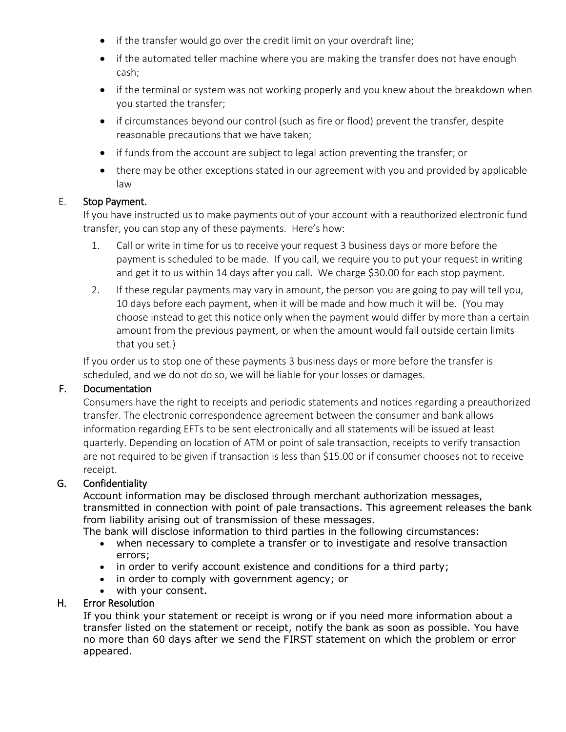- if the transfer would go over the credit limit on your overdraft line;
- if the automated teller machine where you are making the transfer does not have enough cash;
- if the terminal or system was not working properly and you knew about the breakdown when you started the transfer;
- if circumstances beyond our control (such as fire or flood) prevent the transfer, despite reasonable precautions that we have taken;
- if funds from the account are subject to legal action preventing the transfer; or
- there may be other exceptions stated in our agreement with you and provided by applicable law

#### E. Stop Payment.

If you have instructed us to make payments out of your account with a reauthorized electronic fund transfer, you can stop any of these payments. Here's how:

- 1. Call or write in time for us to receive your request 3 business days or more before the payment is scheduled to be made. If you call, we require you to put your request in writing and get it to us within 14 days after you call. We charge \$30.00 for each stop payment.
- 2. If these regular payments may vary in amount, the person you are going to pay will tell you, 10 days before each payment, when it will be made and how much it will be. (You may choose instead to get this notice only when the payment would differ by more than a certain amount from the previous payment, or when the amount would fall outside certain limits that you set.)

If you order us to stop one of these payments 3 business days or more before the transfer is scheduled, and we do not do so, we will be liable for your losses or damages.

#### F. Documentation

Consumers have the right to receipts and periodic statements and notices regarding a preauthorized transfer. The electronic correspondence agreement between the consumer and bank allows information regarding EFTs to be sent electronically and all statements will be issued at least quarterly. Depending on location of ATM or point of sale transaction, receipts to verify transaction are not required to be given if transaction is less than \$15.00 or if consumer chooses not to receive receipt.

#### G. Confidentiality

Account information may be disclosed through merchant authorization messages, transmitted in connection with point of pale transactions. This agreement releases the bank from liability arising out of transmission of these messages.

The bank will disclose information to third parties in the following circumstances:

- when necessary to complete a transfer or to investigate and resolve transaction errors;
- in order to verify account existence and conditions for a third party;
- in order to comply with government agency; or
- with your consent.

#### H. Error Resolution

If you think your statement or receipt is wrong or if you need more information about a transfer listed on the statement or receipt, notify the bank as soon as possible. You have no more than 60 days after we send the FIRST statement on which the problem or error appeared.